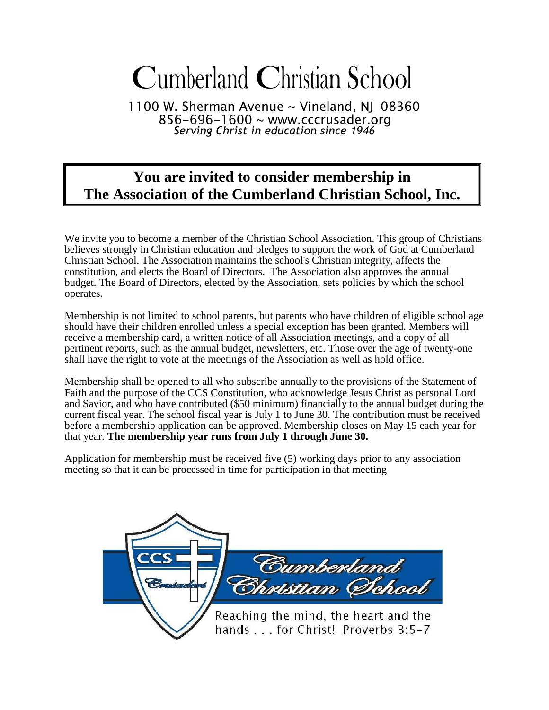# Cumberland Christian School

1100 W. Sherman Avenue ~ Vineland, NJ 08360 856-696-1600 ~ [www.cccrusader.org](http://www.cccrusader.org/) *Serving Christ in education since 1946*

## **You are invited to consider membership in The Association of the Cumberland Christian School, Inc.**

We invite you to become a member of the Christian School Association. This group of Christians believes strongly in Christian education and pledges to support the work of God at Cumberland Christian School. The Association maintains the school's Christian integrity, affects the constitution, and elects the Board of Directors. The Association also approves the annual budget. The Board of Directors, elected by the Association, sets policies by which the school operates.

Membership is not limited to school parents, but parents who have children of eligible school age should have their children enrolled unless a special exception has been granted. Members will receive a membership card, a written notice of all Association meetings, and a copy of all pertinent reports, such as the annual budget, newsletters, etc. Those over the age of twenty-one shall have the right to vote at the meetings of the Association as well as hold office.

Membership shall be opened to all who subscribe annually to the provisions of the Statement of Faith and the purpose of the CCS Constitution, who acknowledge Jesus Christ as personal Lord and Savior, and who have contributed (\$50 minimum) financially to the annual budget during the current fiscal year. The school fiscal year is July 1 to June 30. The contribution must be received before a membership application can be approved. Membership closes on May 15 each year for that year. **The membership year runs from July 1 through June 30.**

Application for membership must be received five (5) working days prior to any association meeting so that it can be processed in time for participation in that meeting